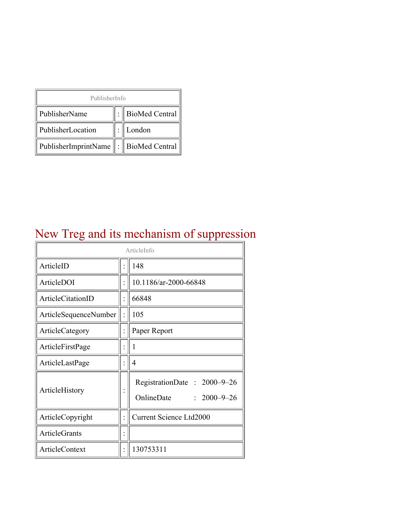| PublisherInfo                              |  |                  |  |  |
|--------------------------------------------|--|------------------|--|--|
| PublisherName                              |  | : BioMed Central |  |  |
| PublisherLocation                          |  | London           |  |  |
| PublisherImprintName   :    BioMed Central |  |                  |  |  |

#### New Treg and its mechanism of suppression

| ArticleInfo           |  |                                                                |
|-----------------------|--|----------------------------------------------------------------|
| ArticleID             |  | 148                                                            |
| ArticleDOI            |  | 10.1186/ar-2000-66848                                          |
| ArticleCitationID     |  | 66848                                                          |
| ArticleSequenceNumber |  | 105                                                            |
| ArticleCategory       |  | Paper Report                                                   |
| ArticleFirstPage      |  | 1                                                              |
| ArticleLastPage       |  | 4                                                              |
| ArticleHistory        |  | RegistrationDate: 2000-9-26<br>OnlineDate<br>$: 2000 - 9 - 26$ |
| ArticleCopyright      |  | <b>Current Science Ltd2000</b>                                 |
| <b>ArticleGrants</b>  |  |                                                                |
| <b>ArticleContext</b> |  | 130753311                                                      |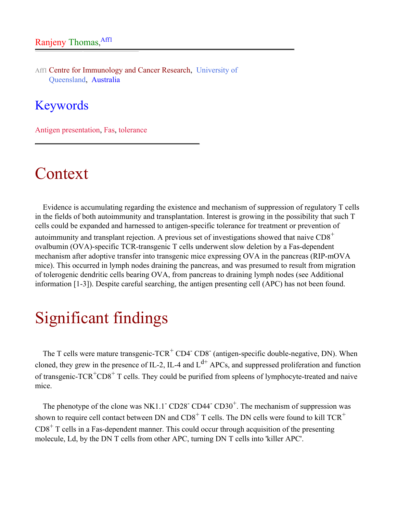Aff1 Centre for Immunology and Cancer Research, University of Queensland, Australia

#### Keywords

Antigen presentation, Fas, tolerance

#### **Context**

Evidence is accumulating regarding the existence and mechanism of suppression of regulatory T cells in the fields of both autoimmunity and transplantation. Interest is growing in the possibility that such T cells could be expanded and harnessed to antigen-specific tolerance for treatment or prevention of autoimmunity and transplant rejection. A previous set of investigations showed that naive  $CD8<sup>+</sup>$ ovalbumin (OVA)-specific TCR-transgenic T cells underwent slow deletion by a Fas-dependent mechanism after adoptive transfer into transgenic mice expressing OVA in the pancreas (RIP-mOVA mice). This occurred in lymph nodes draining the pancreas, and was presumed to result from migration of tolerogenic dendritic cells bearing OVA, from pancreas to draining lymph nodes (see Additional information [1-3]). Despite careful searching, the antigen presenting cell (APC) has not been found.

## Significant findings

The T cells were mature transgenic-TCR<sup>+</sup> CD4<sup>-</sup> CD8<sup>-</sup> (antigen-specific double-negative, DN). When cloned, they grew in the presence of IL-2, IL-4 and  $L^{d+}$  APCs, and suppressed proliferation and function of transgenic- $TCR<sup>+</sup>CD8<sup>+</sup>$  T cells. They could be purified from spleens of lymphocyte-treated and naive mice.

The phenotype of the clone was NK1.1<sup>-</sup> CD28<sup>-</sup> CD44<sup>-</sup> CD30<sup>+</sup>. The mechanism of suppression was shown to require cell contact between DN and  $CDS<sup>+</sup>$  T cells. The DN cells were found to kill TCR<sup>+</sup>  $CD8<sup>+</sup>$  T cells in a Fas-dependent manner. This could occur through acquisition of the presenting molecule, Ld, by the DN T cells from other APC, turning DN T cells into 'killer APC'.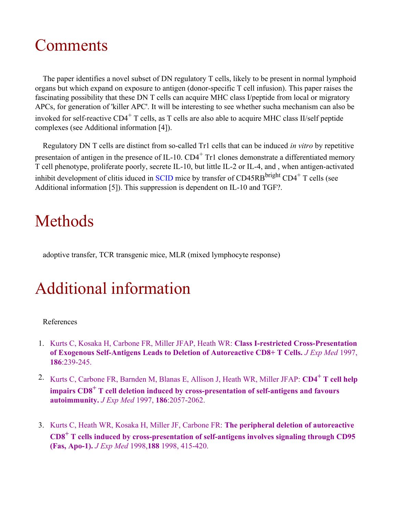## **Comments**

The paper identifies a novel subset of DN regulatory T cells, likely to be present in normal lymphoid organs but which expand on exposure to antigen (donor-specific T cell infusion). This paper raises the fascinating possibility that these DN T cells can acquire MHC class I/peptide from local or migratory APCs, for generation of 'killer APC'. It will be interesting to see whether sucha mechanism can also be invoked for self-reactive  $CD4^+$  T cells, as T cells are also able to acquire MHC class II/self peptide complexes (see Additional information [4]).

Regulatory DN T cells are distinct from so-called Tr1 cells that can be induced *in vitro* by repetitive presentaion of antigen in the presence of IL-10.  $CD4^+$  Tr1 clones demonstrate a differentiated memory T cell phenotype, proliferate poorly, secrete IL-10, but little IL-2 or IL-4, and , when antigen-activated inhibit development of clitis iduced in [SCID](http://arthritis-research.com/glossary/?letter=S&referrer=) mice by transfer of CD45RB<sup>bright</sup> CD4<sup>+</sup> T cells (see Additional information [5]). This suppression is dependent on IL-10 and TGF?.

## Methods

adoptive transfer, TCR transgenic mice, MLR (mixed lymphocyte response)

# Additional information

#### References

- 1. Kurts C, Kosaka H, Carbone FR, Miller JFAP, Heath WR: **Class I-restricted Cross-Presentation of Exogenous Self-Antigens Leads to Deletion of Autoreactive CD8+ T Cells.** *J Exp Med* 1997, **186**:239-245.
- 2. Kurts C, Carbone FR, Barnden M, Blanas E, Allison J, Heath WR, Miller JFAP: **CD4<sup>+</sup> T cell help impairs CD8<sup>+</sup> T cell deletion induced by cross-presentation of self-antigens and favours autoimmunity.** *J Exp Med* 1997, **186**:2057-2062.
- 3. Kurts C, Heath WR, Kosaka H, Miller JF, Carbone FR: **The peripheral deletion of autoreactive CD8<sup>+</sup> T cells induced by cross-presentation of self-antigens involves signaling through CD95 (Fas, Apo-1).** *J Exp Med* 1998,**188** 1998, 415-420.